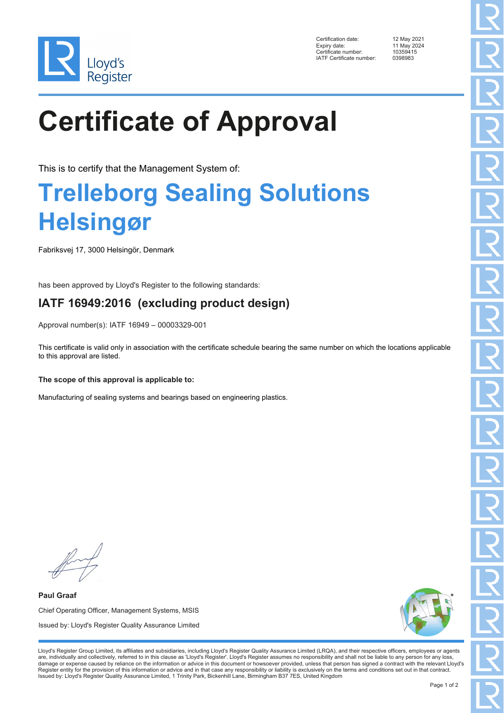

Certification date: 12 May 2021 Expiry date: 11 May 2024<br>Certificate number: 10359415 Ency Enternalism of the control of the Certificate number:<br>1035941:<br>IATE Certificate number: 0398983 IATF Certificate number:

# **Certificate of Approval**

This is to certify that the Management System of:

### **Trelleborg Sealing Solutions Helsingør**

Fabriksvej 17, 3000 Helsingör, Denmark

has been approved by Lloyd's Register to the following standards:

### **IATF 16949:2016 (excluding product design)**

Approval number(s): IATF 16949 – 00003329-001

This certificate is valid only in association with the certificate schedule bearing the same number on which the locations applicable to this approval are listed.

#### **The scope of this approval is applicable to:**

Manufacturing of sealing systems and bearings based on engineering plastics.

**Paul Graaf** Chief Operating Officer, Management Systems, MSIS Issued by: Lloyd's Register Quality Assurance Limited



Lloyd's Register Group Limited, its affiliates and subsidiaries, including Lloyd's Register Quality Assurance Limited (LRQA), and their respective officers, employees or agents are, individually and collectively, referred to in this clause as 'Lloyd's Register'. Lloyd's Register assumes no responsibility and shall not be liable to any person for any loss,<br>damage or expense caused by reliance on t Register entity for the provision of this information or advice and in that case any responsibility or liability is exclusively on the terms and conditions set out in that contract. Issued by: Lloyd's Register Quality Assurance Limited, 1 Trinity Park, Bickenhill Lane, Birmingham B37 7ES, United Kingdom